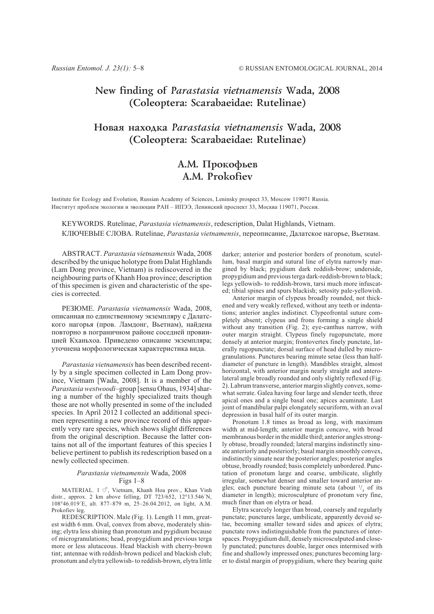## New finding of Parastasia vietnamensis Wada, 2008 (Coleoptera: Scarabaeidae: Rutelinae)

# Hobaa Haxoaka Parastasia vietnamensis Wada, 2008 (Coleoptera: Scarabaeidae: Rutelinae)

## А.М. Прокофьев A.M. Prokofiev

Institute for Ecology and Evolution, Russian Academy of Sciences, Leninsky prospect 33, Moscow 119071 Russia. Институт проблем экологии и эволюции РАН – ИПЭЭ, Ленинский проспект 33, Москва 119071, Россия.

KEYWORDS. Rutelinae, Parastasia vietnamensis, redescription, Dalat Highlands, Vietnam. КЛЮЧЕВЫЕ СЛОВА. Rutelinae, Parastasia vietnamensis, переописание, Далатское нагорье, Вьетнам.

ABSTRACT. Parastasia vietnamensis Wada, 2008 described by the unique holotype from Dalat Highlands (Lam Dong province, Vietnam) is rediscovered in the neighbouring parts of Khanh Hoa province; description of this specimen is given and characteristic of the species is corrected.

РЕЗЮМЕ. Parastasia vietnamensis Wada, 2008, описанная по единственному экземпляру с Далатского нагорья (пров. Ламдонг, Вьетнам), найдена повторно в пограничном районе соседней провинцией Кханьхоа. Приведено описание экземпляра; уточнена морфологическая характеристика вида.

Parastasia vietnamensis has been described recently by a single specimen collected in Lam Dong province, Vietnam [Wada, 2008]. It is a member of the Parastasia westwoodi–group [sensu Ohaus, 1934] sharing a number of the highly specialized traits though those are not wholly presented in some of the included species. In April 2012 I collected an additional specimen representing a new province record of this apparently very rare species, which shows slight differences from the original description. Because the latter contains not all of the important features of this species I believe pertinent to publish its redescription based on a newly collected specimen.

#### Parastasia vietnamensis Wada, 2008 Figs 1–8

MATERIAL. 1  $\circ$ <sup>7</sup>, Vietnam, Khanh Hoa prov., Khan Vinh distr., approx. 2 km above felling, DT 723/652, 12°13.546´N, 108°46.019´E, alt. 877–879 m, 25–26.04.2012, on light, A.M. Prokofiev leg.

REDESCRIPTION. Male (Fig. 1). Length 11 mm, greatest width 6 mm. Oval, convex from above, moderately shining; elytra less shining than pronotum and pygidium because of microgranulations; head, propygidium and previous terga more or less alutaceous. Head blackish with cherry-brown tint; antennae with reddish-brown pedicel and blackish club; pronotum and elytra yellowish- to reddish-brown, elytra little

darker; anterior and posterior borders of pronotum, scutellum, basal margin and sutural line of elytra narrowly margined by black; pygidium dark reddish-brow; underside, propygidium and previous terga dark-reddish-brown to black; legs yellowish- to reddish-brown, tarsi much more infuscated; tibial spines and spurs blackish; setosity pale-yellowish.

Anterior margin of clypeus broadly rounded, not thickened and very weakly reflexed, without any teeth or indentations; anterior angles indistinct. Clypeofrontal suture completely absent; clypeus and frons forming a single shield without any transition (Fig. 2); eye-canthus narrow, with outer margin straight. Clypeus finely rugopunctate, more densely at anterior margin; frontovertex finely punctate, laterally rugopunctate; dorsal surface of head dulled by microgranulations. Punctures bearing minute setae (less than halfdiameter of puncture in length). Mandibles straight, almost horizontal, with anterior margin nearly straight and anterolateral angle broadly rounded and only slightly reflexed (Fig. 2). Labrum transverse, anterior margin slightly convex, somewhat serrate. Galea having four large and slender teeth, three apical ones and a single basal one; apices acuminate. Last joint of mandibular palpi elongately securiform, with an oval depression in basal half of its outer margin.

Pronotum 1.8 times as broad as long, with maximum width at mid-length; anterior margin concave, with broad membranous border in the middle third; anterior angles strongly obtuse, broadly rounded; lateral margins indistinctly sinuate anteriorly and posteriorly; basal margin smoothly convex, indistinctly sinuate near the posterior angles; posterior angles obtuse, broadly rounded; basis completely unbordered. Punctation of pronotum large and coarse, umbilicate, slightly irregular, somewhat denser and smaller toward anterior angles; each puncture bearing minute seta (about  $\frac{1}{5}$  of its diameter in length); microsculpture of pronotum very fine, much finer than on elytra or head.

Elytra scarcely longer than broad, coarsely and regularly punctate; punctures large, umbilicate, apparently devoid setae, becoming smaller toward sides and apices of elytra; punctate rows indistinguishable from the punctures of interspaces. Propygidium dull, densely microsculputed and closely punctated; punctures double, larger ones intermixed with fine and shallowly impressed ones; punctures becoming larger to distal margin of propygidium, where they bearing quite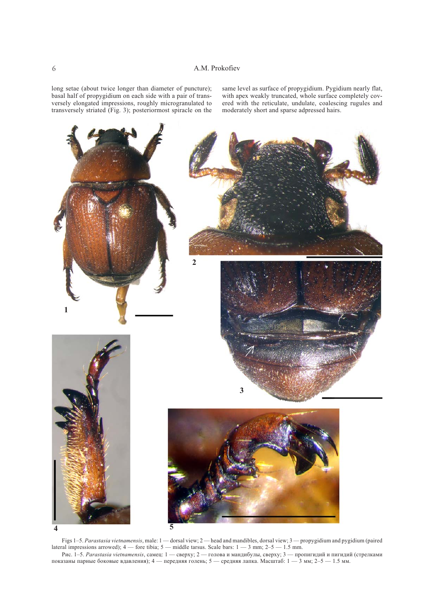long setae (about twice longer than diameter of puncture); basal half of propygidium on each side with a pair of transversely elongated impressions, roughly microgranulated to transversely striated (Fig. 3); posteriormost spiracle on the

same level as surface of propygidium. Pygidium nearly flat, with apex weakly truncated, whole surface completely covered with the reticulate, undulate, coalescing rugules and moderately short and sparse adpressed hairs.



Figs 1–5. Parastasia vietnamensis, male: 1 — dorsal view; 2 — head and mandibles, dorsal view; 3 — propygidium and pygidium (paired lateral impressions arrowed);  $4$  — fore tibia;  $5$  — middle tarsus. Scale bars:  $1$  — 3 mm;  $2-5$  — 1.5 mm.

Рис. 1–5. Parastasia vietnamensis, самец: 1 — сверху; 2 — голова и мандибулы, сверху; 3 — пропигидий и пигидий (стрелками показаны парные боковые вдавления); 4 — передняя голень; 5 — средняя лапка. Масштаб: 1 — 3 мм; 2–5 — 1.5 мм.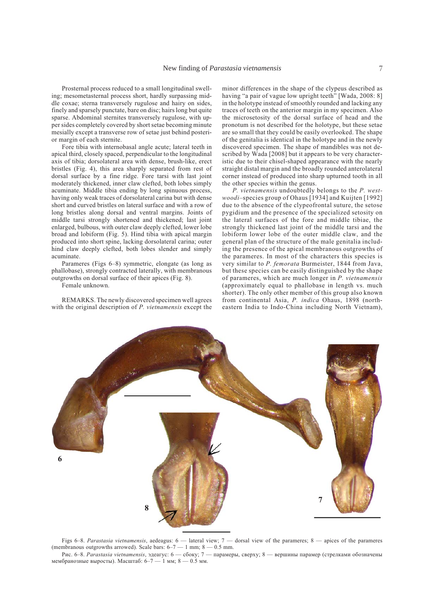Prosternal process reduced to a small longitudinal swelling; mesometasternal process short, hardly surpassing middle coxae; sterna transversely rugulose and hairy on sides, finely and sparsely punctate, bare on disc; hairs long but quite sparse. Abdominal sternites transversely rugulose, with upper sides completely covered by short setae becoming minute mesially except a transverse row of setae just behind posterior margin of each sternite.

Fore tibia with internobasal angle acute; lateral teeth in apical third, closely spaced, perpendicular to the longitudinal axis of tibia; dorsolateral area with dense, brush-like, erect bristles (Fig. 4), this area sharply separated from rest of dorsal surface by a fine ridge. Fore tarsi with last joint moderately thickened, inner claw clefted, both lobes simply acuminate. Middle tibia ending by long spinuous process, having only weak traces of dorsolateral carina but with dense short and curved bristles on lateral surface and with a row of long bristles along dorsal and ventral margins. Joints of middle tarsi strongly shortened and thickened; last joint enlarged, bulbous, with outer claw deeply clefted, lower lobe broad and lobiform (Fig. 5). Hind tibia with apical margin produced into short spine, lacking dorsolateral carina; outer hind claw deeply clefted, both lobes slender and simply acuminate.

Parameres (Figs 6–8) symmetric, elongate (as long as phallobase), strongly contracted laterally, with membranous outgrowths on dorsal surface of their apices (Fig. 8).

Female unknown.

REMARKS. The newly discovered specimen well agrees with the original description of P. vietnamensis except the

minor differences in the shape of the clypeus described as having "a pair of vague low upright teeth" [Wada, 2008: 8] in the holotype instead of smoothly rounded and lacking any traces of teeth on the anterior margin in my specimen. Also the microsetosity of the dorsal surface of head and the pronotum is not described for the holotype, but these setae are so small that they could be easily overlooked. The shape of the genitalia is identical in the holotype and in the newly discovered specimen. The shape of mandibles was not described by Wada [2008] but it appears to be very characteristic due to their chisel-shaped appearance with the nearly straight distal margin and the broadly rounded anterolateral corner instead of produced into sharp upturned tooth in all the other species within the genus.

P. vietnamensis undoubtedly belongs to the P. westwoodi-species group of Ohaus [1934] and Kuijten [1992] due to the absence of the clypeofrontal suture, the setose pygidium and the presence of the specialized setosity on the lateral surfaces of the fore and middle tibiae, the strongly thickened last joint of the middle tarsi and the lobiform lower lobe of the outer middle claw, and the general plan of the structure of the male genitalia including the presence of the apical membranous outgrowths of the parameres. In most of the characters this species is very similar to P. femorata Burmeister, 1844 from Java, but these species can be easily distinguished by the shape of parameres, which are much longer in P. vietnamensis (approximately equal to phallobase in length vs. much shorter). The only other member of this group also known from continental Asia, P. indica Ohaus, 1898 (northeastern India to Indo-China including North Vietnam),



Figs 6–8. Parastasia vietnamensis, aedeagus:  $6$  — lateral view;  $7$  — dorsal view of the parameres;  $8$  — apices of the parameres (membranous outgrowths arrowed). Scale bars:  $6-7 - 1$  mm;  $8 - 0.5$  mm.

Рис. 6–8. Parastasia vietnamensis, эдеагус: 6 — сбоку; 7 — парамеры, сверху; 8 — вершины парамер (стрелками обозначены мембранозные выросты). Масштаб:  $6-7-1$  мм;  $8-0.5$  мм.